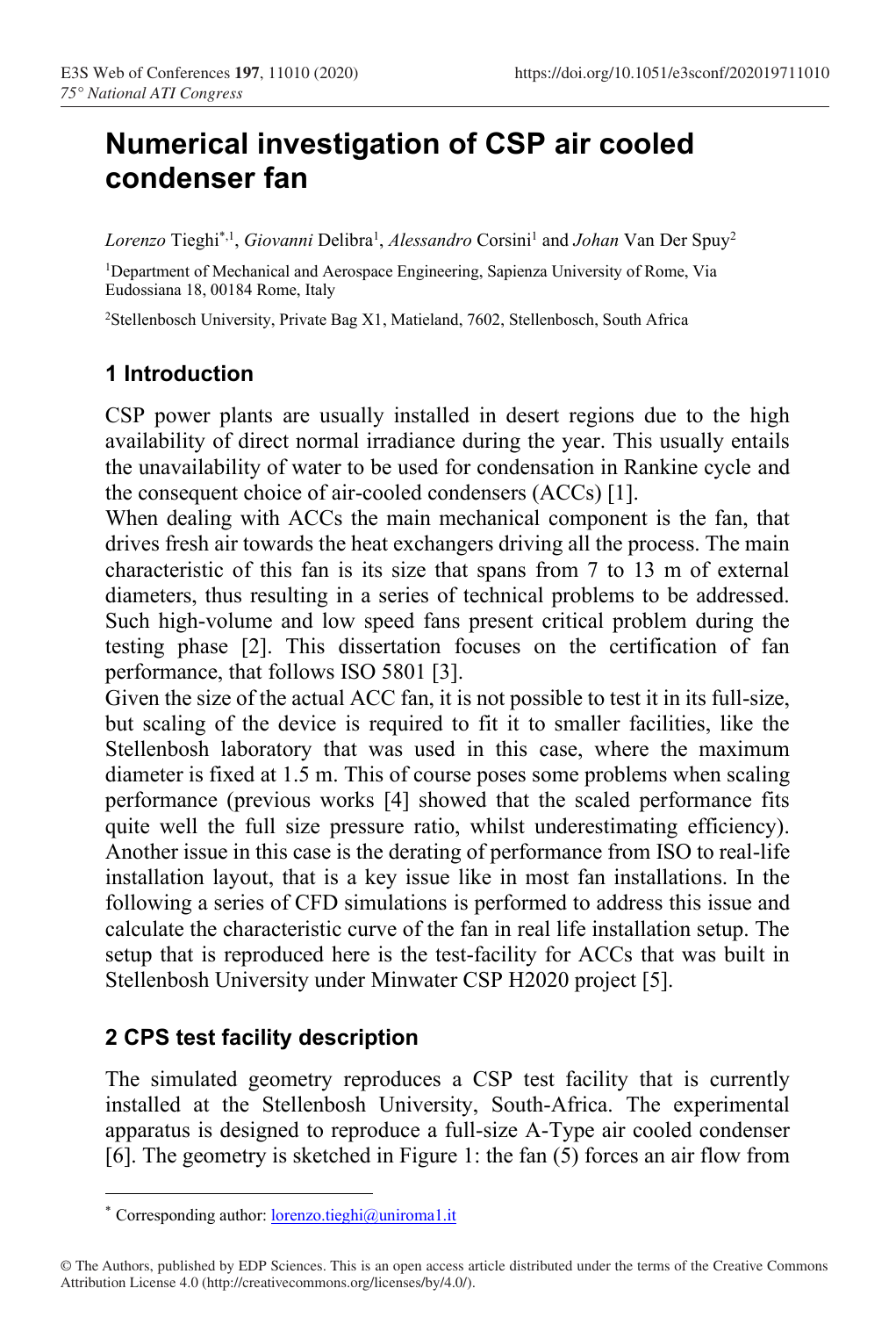# **Numerical investigation of CSP air cooled condenser fan**

Lorenzo Tieghi<sup>\*,1</sup>, *Giovanni* Delibra<sup>1</sup>, *Alessandro* Corsini<sup>1</sup> and *Johan* Van Der Spuy<sup>2</sup>

<sup>1</sup>Department of Mechanical and Aerospace Engineering, Sapienza University of Rome, Via Eudossiana 18, 00184 Rome, Italy

<sup>2</sup>Stellenbosch University, Private Bag X1, Matieland, 7602, Stellenbosch, South Africa

# **1 Introduction**

CSP power plants are usually installed in desert regions due to the high availability of direct normal irradiance during the year. This usually entails the unavailability of water to be used for condensation in Rankine cycle and the consequent choice of air-cooled condensers (ACCs) [\[1\]](#page-8-0).

When dealing with ACCs the main mechanical component is the fan, that drives fresh air towards the heat exchangers driving all the process. The main characteristic of this fan is its size that spans from 7 to 13 m of external diameters, thus resulting in a series of technical problems to be addressed. Such high-volume and low speed fans present critical problem during the testing phase [\[2\]](#page-8-1). This dissertation focuses on the certification of fan performance, that follows ISO 5801 [\[3\]](#page-8-2).

Given the size of the actual ACC fan, it is not possible to test it in its full-size, but scaling of the device is required to fit it to smaller facilities, like the Stellenbosh laboratory that was used in this case, where the maximum diameter is fixed at 1.5 m. This of course poses some problems when scaling performance (previous works [\[4\]](#page-8-3) showed that the scaled performance fits quite well the full size pressure ratio, whilst underestimating efficiency). Another issue in this case is the derating of performance from ISO to real-life installation layout, that is a key issue like in most fan installations. In the following a series of CFD simulations is performed to address this issue and calculate the characteristic curve of the fan in real life installation setup. The setup that is reproduced here is the test-facility for ACCs that was built in Stellenbosh University under Minwater CSP H2020 project [\[5\]](#page-8-4).

# **2 CPS test facility description**

The simulated geometry reproduces a CSP test facility that is currently installed at the Stellenbosh University, South-Africa. The experimental apparatus is designed to reproduce a full-size A-Type air cooled condenser [\[6\]](#page-8-5). The geometry is sketched in [Figure 1:](#page-1-0) the fan (5) forces an air flow from

<sup>\*</sup> Corresponding author: [lorenzo.tieghi@uniroma1.it](mailto:lorenzo.tieghi@uniroma1.it)

<sup>©</sup> The Authors, published by EDP Sciences. This is an open access article distributed under the terms of the Creative Commons Attribution License 4.0 (http://creativecommons.org/licenses/by/4.0/).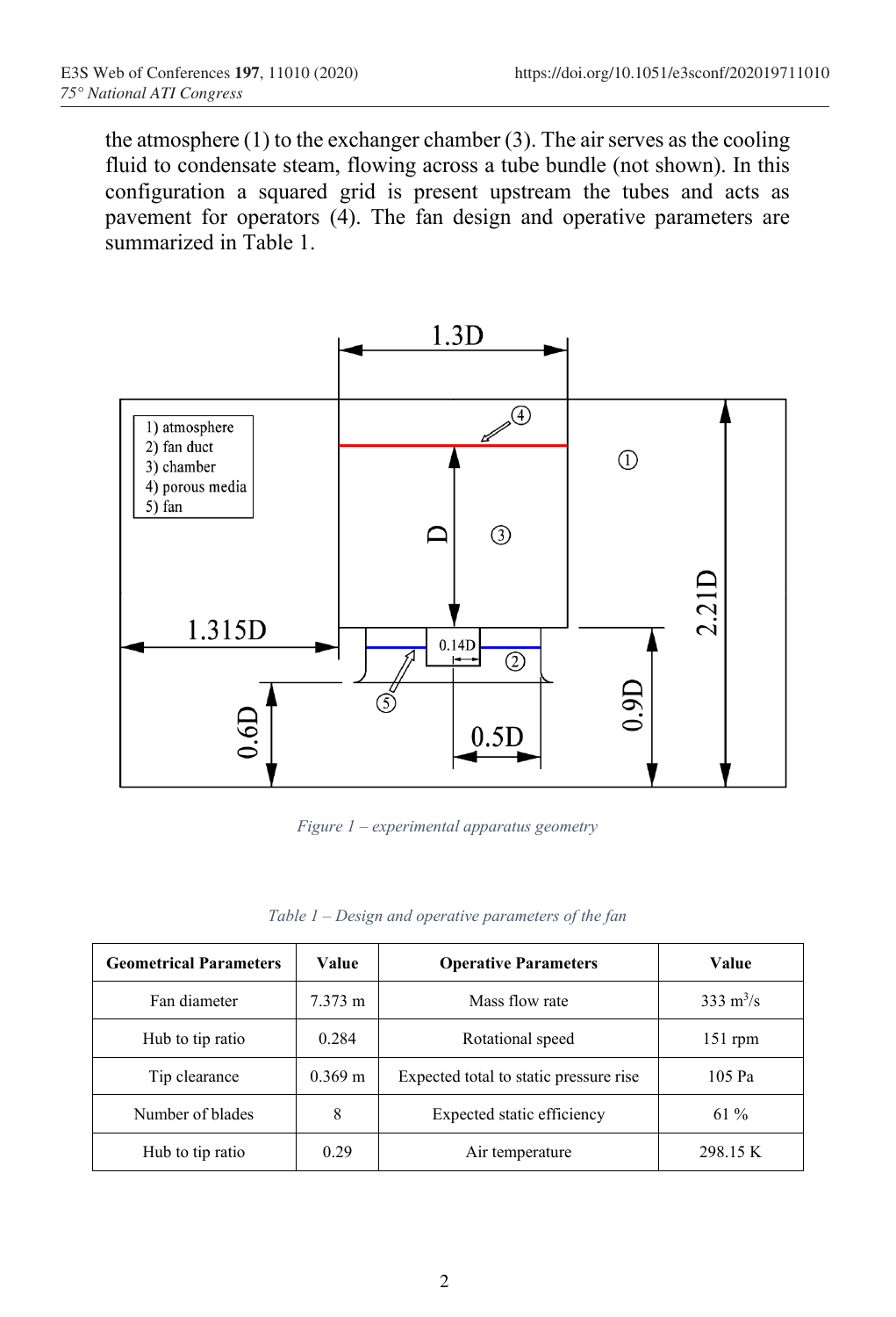the atmosphere (1) to the exchanger chamber (3). The air serves as the cooling fluid to condensate steam, flowing across a tube bundle (not shown). In this configuration a squared grid is present upstream the tubes and acts as pavement for operators (4). The fan design and operative parameters are summarized in [Table 1.](#page-1-1)



*Figure 1 – experimental apparatus geometry*

| Table 1 – Design and operative parameters of the fan |  |  |  |
|------------------------------------------------------|--|--|--|
|------------------------------------------------------|--|--|--|

<span id="page-1-1"></span><span id="page-1-0"></span>

| <b>Geometrical Parameters</b> | Value             | <b>Operative Parameters</b>            | Value                      |
|-------------------------------|-------------------|----------------------------------------|----------------------------|
| Fan diameter                  | $7.373 \text{ m}$ | Mass flow rate                         | $333 \text{ m}^3/\text{s}$ |
| Hub to tip ratio              | 0.284             | Rotational speed                       | $151$ rpm                  |
| Tip clearance                 | $0.369 \text{ m}$ | Expected total to static pressure rise | 105 Pa                     |
| Number of blades              | 8                 | Expected static efficiency             | $61\%$                     |
| Hub to tip ratio              | 0.29              | Air temperature                        | 298.15 K                   |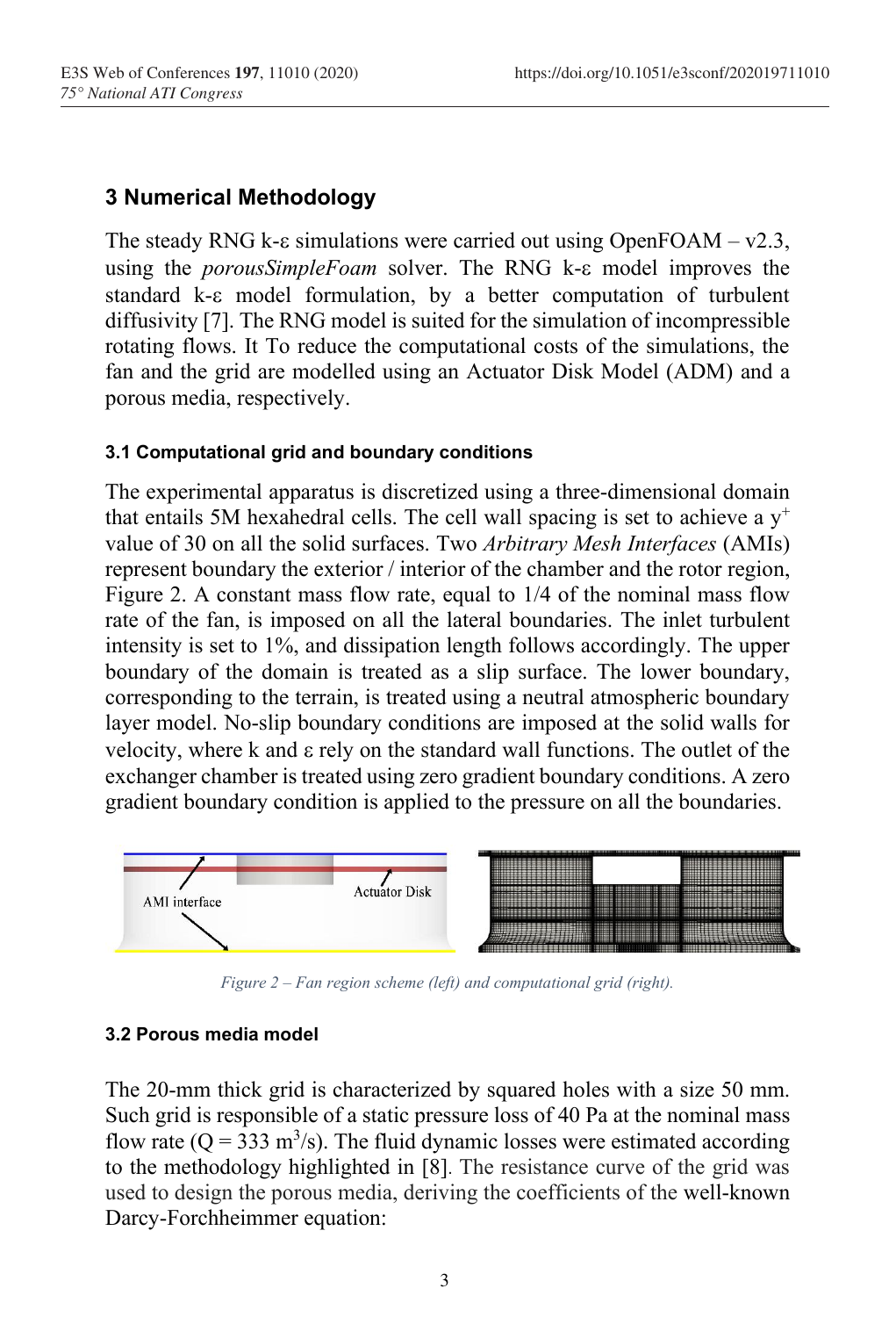# **3 Numerical Methodology**

The steady RNG k- $\varepsilon$  simulations were carried out using OpenFOAM – v2.3, using the *porousSimpleFoam* solver. The RNG k- $\varepsilon$  model improves the standard k- $\varepsilon$  model formulation, by a better computation of turbulent diffusivity [\[7\]](#page-8-6). The RNG model is suited for the simulation of incompressible rotating flows. It To reduce the computational costs of the simulations, the fan and the grid are modelled using an Actuator Disk Model (ADM) and a porous media, respectively.

### **3.1 Computational grid and boundary conditions**

The experimental apparatus is discretized using a three-dimensional domain that entails 5M hexahedral cells. The cell wall spacing is set to achieve a  $y^+$ value of 30 on all the solid surfaces. Two *Arbitrary Mesh Interfaces* (AMIs) represent boundary the exterior / interior of the chamber and the rotor region, [Figure 2.](#page-2-0) A constant mass flow rate, equal to 1/4 of the nominal mass flow rate of the fan, is imposed on all the lateral boundaries. The inlet turbulent intensity is set to 1%, and dissipation length follows accordingly. The upper boundary of the domain is treated as a slip surface. The lower boundary, corresponding to the terrain, is treated using a neutral atmospheric boundary layer model. No-slip boundary conditions are imposed at the solid walls for velocity, where  $k$  and  $\epsilon$  rely on the standard wall functions. The outlet of the exchanger chamber is treated using zero gradient boundary conditions. A zero gradient boundary condition is applied to the pressure on all the boundaries.



*Figure 2 – Fan region scheme (left) and computational grid (right).*

#### <span id="page-2-0"></span>**3.2 Porous media model**

The 20-mm thick grid is characterized by squared holes with a size 50 mm. Such grid is responsible of a static pressure loss of 40 Pa at the nominal mass flow rate ( $Q = 333$  m<sup>3</sup>/s). The fluid dynamic losses were estimated according to the methodology highlighted in [\[8\]](#page-8-7). The resistance curve of the grid was used to design the porous media, deriving the coefficients of the well-known Darcy-Forchheimmer equation: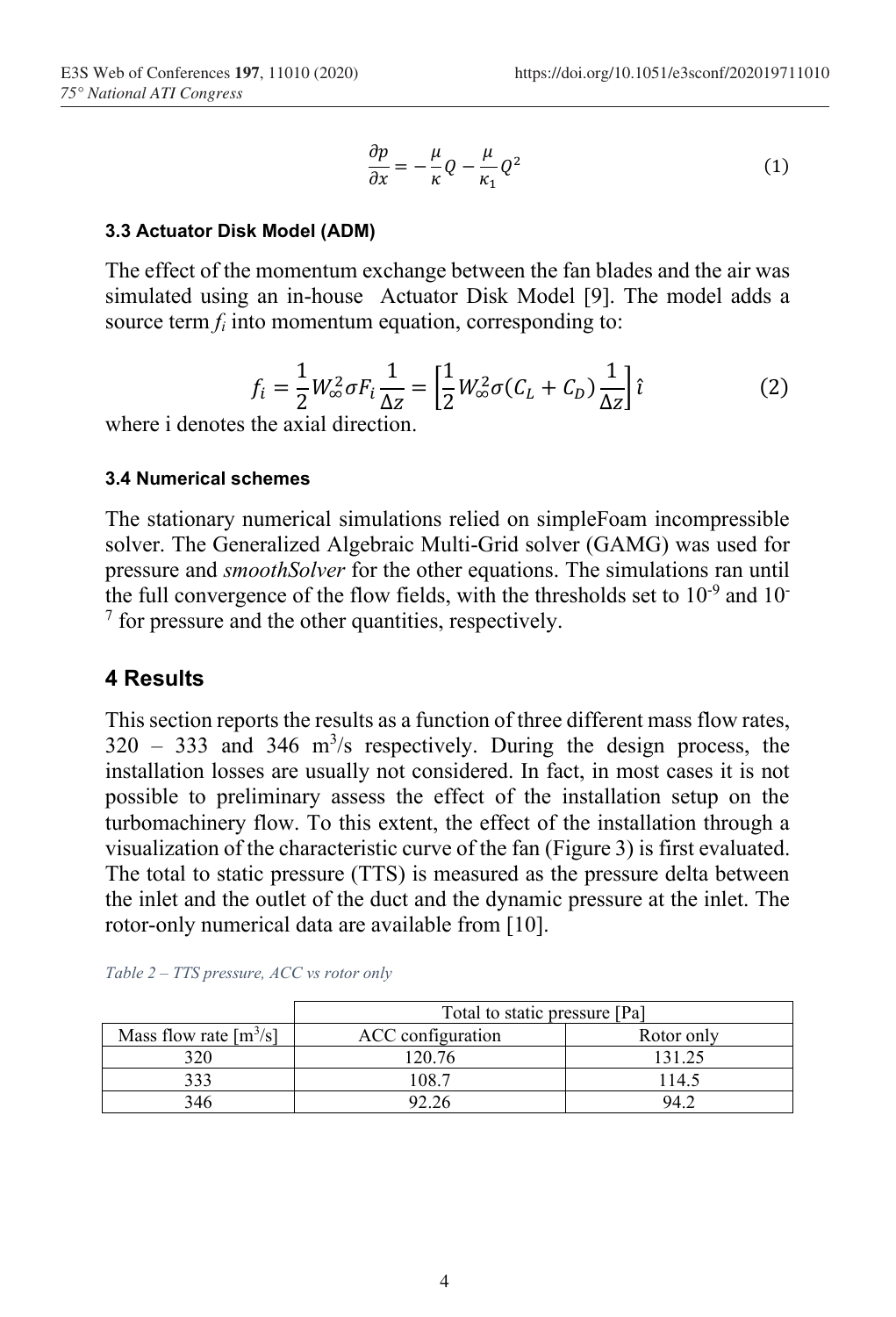$$
\frac{\partial p}{\partial x} = -\frac{\mu}{\kappa} Q - \frac{\mu}{\kappa_1} Q^2 \tag{1}
$$

#### **3.3 Actuator Disk Model (ADM)**

The effect of the momentum exchange between the fan blades and the air was simulated using an in-house Actuator Disk Model [\[9\]](#page-8-8). The model adds a source term *f<sup>i</sup>* into momentum equation, corresponding to:

$$
f_i = \frac{1}{2} W_{\infty}^2 \sigma F_i \frac{1}{\Delta z} = \left[ \frac{1}{2} W_{\infty}^2 \sigma (C_L + C_D) \frac{1}{\Delta z} \right] \hat{\iota}
$$
 (2)

where i denotes the axial direction.

#### **3.4 Numerical schemes**

The stationary numerical simulations relied on simpleFoam incompressible solver. The Generalized Algebraic Multi-Grid solver (GAMG) was used for pressure and *smoothSolver* for the other equations. The simulations ran until the full convergence of the flow fields, with the thresholds set to  $10^{-9}$  and  $10^{-7}$ <sup>7</sup> for pressure and the other quantities, respectively.

### **4 Results**

This section reports the results as a function of three different mass flow rates,  $320 - 333$  and  $346 \text{ m}^3\text{/s}$  respectively. During the design process, the installation losses are usually not considered. In fact, in most cases it is not possible to preliminary assess the effect of the installation setup on the turbomachinery flow. To this extent, the effect of the installation through a visualization of the characteristic curve of the fan [\(Figure 3\)](#page-4-0) is first evaluated. The total to static pressure (TTS) is measured as the pressure delta between the inlet and the outlet of the duct and the dynamic pressure at the inlet. The rotor-only numerical data are available from [\[10\]](#page-8-9).

|                                      | Total to static pressure [Pa] |            |  |
|--------------------------------------|-------------------------------|------------|--|
| Mass flow rate $\lceil m^3/s \rceil$ | ACC configuration             | Rotor only |  |
| 320                                  | 120.76                        |            |  |
| 333                                  | 108 7                         | 14.5       |  |
|                                      | 92.26                         | 94 C       |  |

<span id="page-3-0"></span>*Table 2 – TTS pressure, ACC vs rotor only*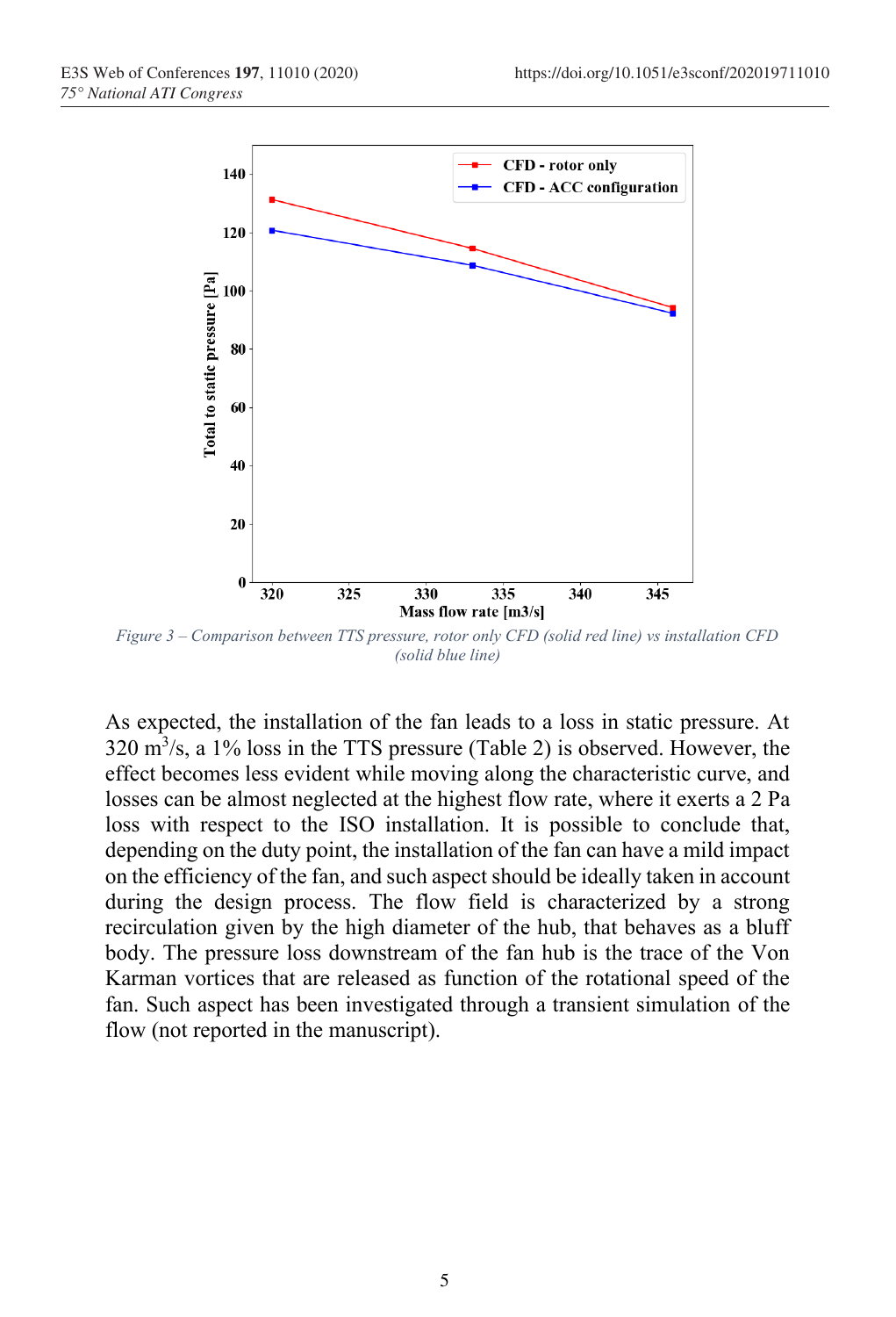

<span id="page-4-0"></span>*Figure 3 – Comparison between TTS pressure, rotor only CFD (solid red line) vs installation CFD (solid blue line)*

As expected, the installation of the fan leads to a loss in static pressure. At  $320 \text{ m}^3/\text{s}$ , a 1% loss in the TTS pressure [\(Table 2\)](#page-3-0) is observed. However, the effect becomes less evident while moving along the characteristic curve, and losses can be almost neglected at the highest flow rate, where it exerts a 2 Pa loss with respect to the ISO installation. It is possible to conclude that, depending on the duty point, the installation of the fan can have a mild impact on the efficiency of the fan, and such aspect should be ideally taken in account during the design process. The flow field is characterized by a strong recirculation given by the high diameter of the hub, that behaves as a bluff body. The pressure loss downstream of the fan hub is the trace of the Von Karman vortices that are released as function of the rotational speed of the fan. Such aspect has been investigated through a transient simulation of the flow (not reported in the manuscript).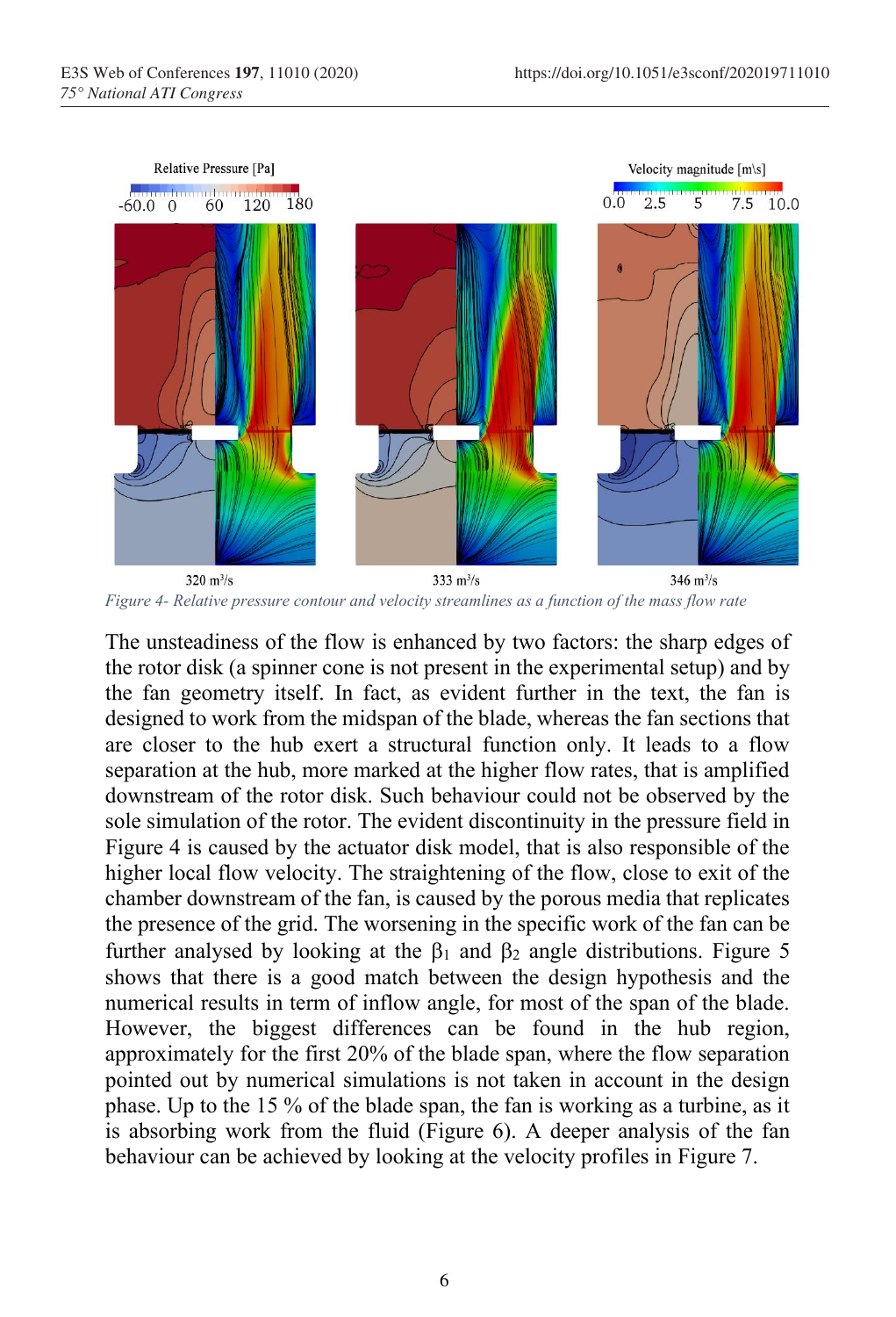

<span id="page-5-0"></span>320 $m^3/s$  $333 \text{ m}^3/\text{s}$  $346 \text{ m}^3/\text{s}$ *Figure 4- Relative pressure contour and velocity streamlines as a function of the mass flow rate*

The unsteadiness of the flow is enhanced by two factors: the sharp edges of the rotor disk (a spinner cone is not present in the experimental setup) and by the fan geometry itself. In fact, as evident further in the text, the fan is designed to work from the midspan of the blade, whereas the fan sections that are closer to the hub exert a structural function only. It leads to a flow separation at the hub, more marked at the higher flow rates, that is amplified downstream of the rotor disk. Such behaviour could not be observed by the sole simulation of the rotor. The evident discontinuity in the pressure field in [Figure 4](#page-5-0) is caused by the actuator disk model, that is also responsible of the higher local flow velocity. The straightening of the flow, close to exit of the chamber downstream of the fan, is caused by the porous media that replicates the presence of the grid. The worsening in the specific work of the fan can be further analysed by looking at the  $\beta_1$  and  $\beta_2$  angle distributions. [Figure 5](#page-6-0) shows that there is a good match between the design hypothesis and the numerical results in term of inflow angle, for most of the span of the blade. However, the biggest differences can be found in the hub region, approximately for the first 20% of the blade span, where the flow separation pointed out by numerical simulations is not taken in account in the design phase. Up to the 15 % of the blade span, the fan is working as a turbine, as it is absorbing work from the fluid [\(Figure 6\)](#page-6-1). A deeper analysis of the fan behaviour can be achieved by looking at the velocity profiles in [Figure 7.](#page-7-0)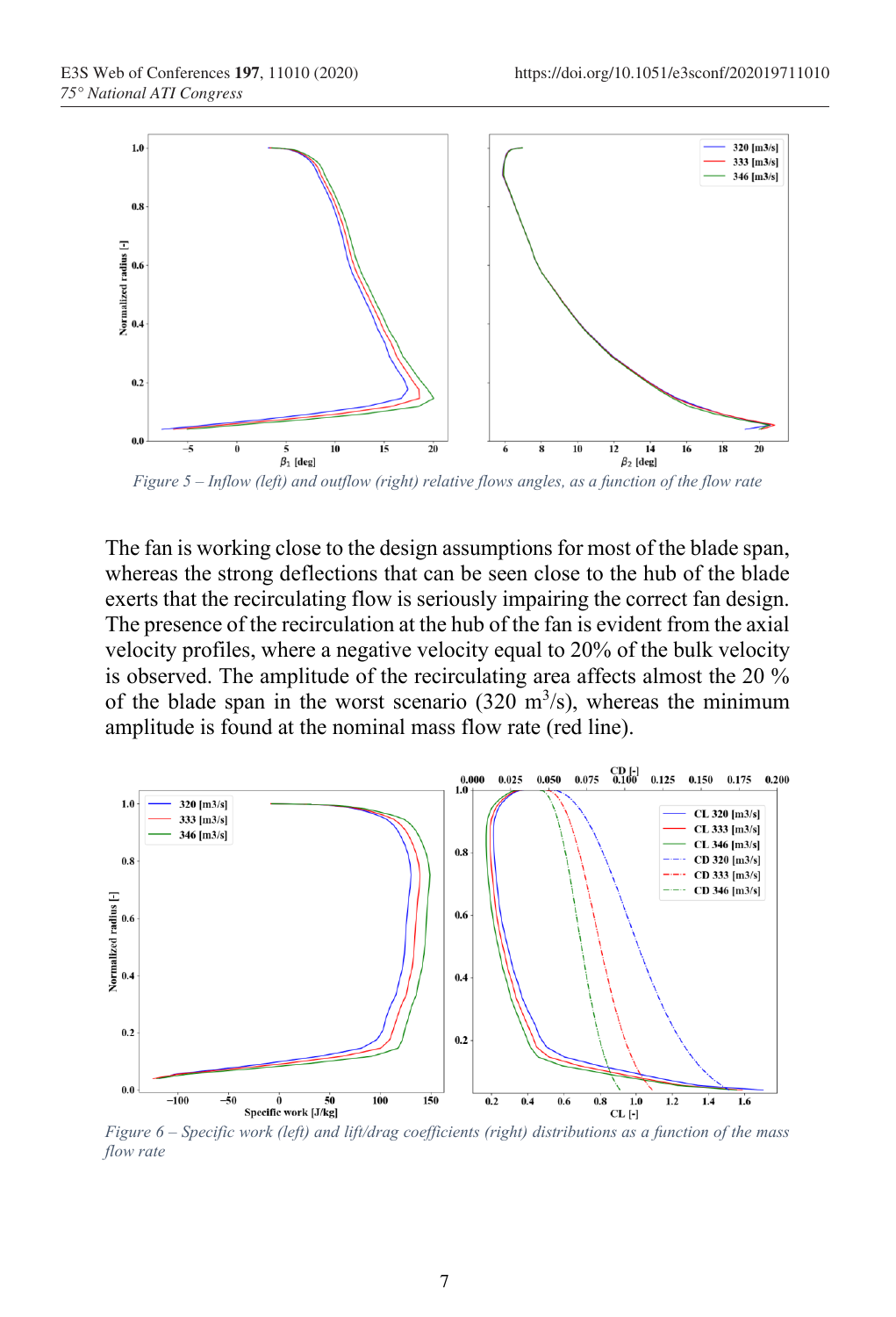

<span id="page-6-0"></span>*Figure 5 – Inflow (left) and outflow (right) relative flows angles, as a function of the flow rate*

The fan is working close to the design assumptions for most of the blade span, whereas the strong deflections that can be seen close to the hub of the blade exerts that the recirculating flow is seriously impairing the correct fan design. The presence of the recirculation at the hub of the fan is evident from the axial velocity profiles, where a negative velocity equal to 20% of the bulk velocity is observed. The amplitude of the recirculating area affects almost the 20 % of the blade span in the worst scenario  $(320 \text{ m}^3/\text{s})$ , whereas the minimum amplitude is found at the nominal mass flow rate (red line).



<span id="page-6-1"></span>*Figure 6 – Specific work (left) and lift/drag coefficients (right) distributions as a function of the mass flow rate*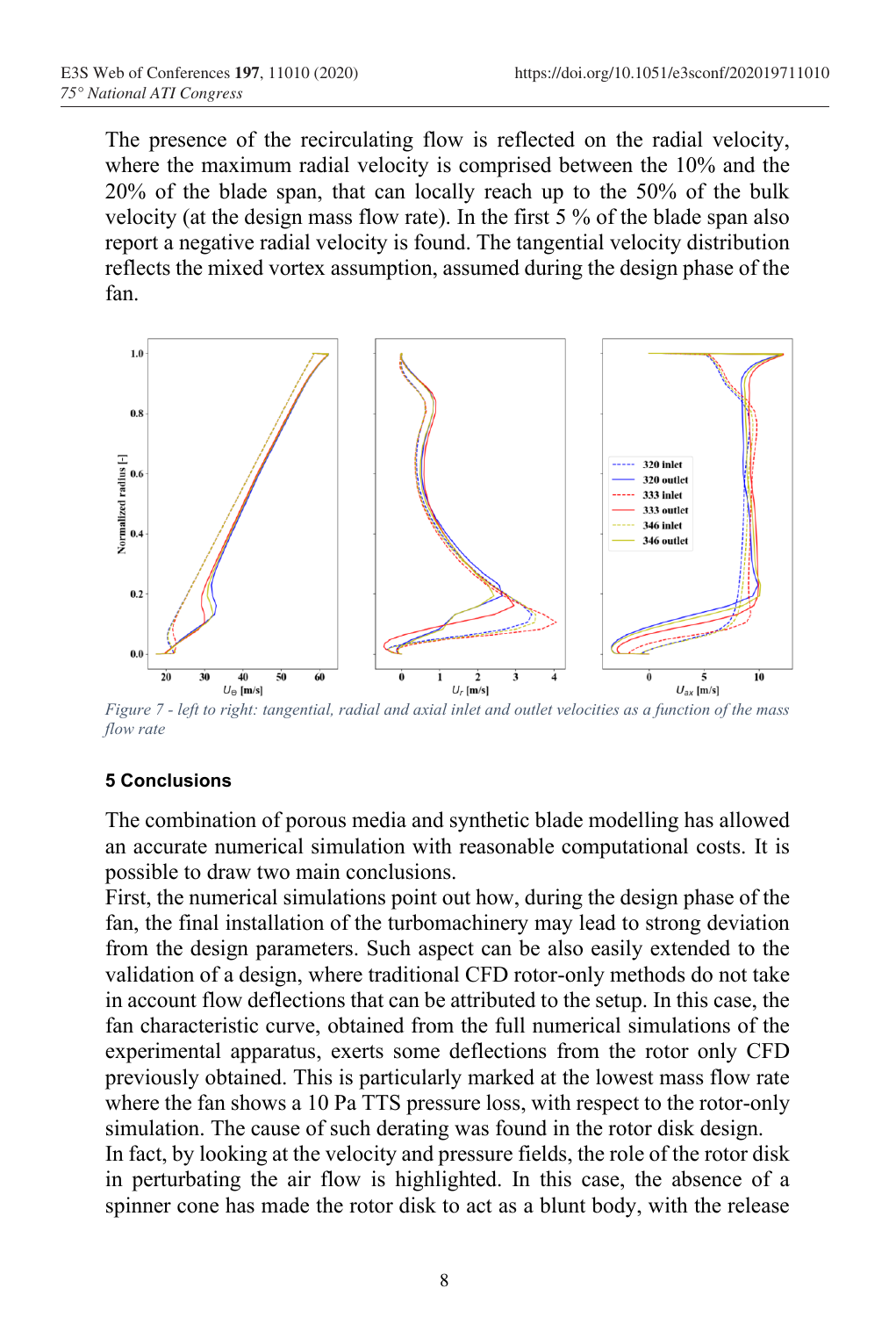The presence of the recirculating flow is reflected on the radial velocity, where the maximum radial velocity is comprised between the 10% and the 20% of the blade span, that can locally reach up to the 50% of the bulk velocity (at the design mass flow rate). In the first 5 % of the blade span also report a negative radial velocity is found. The tangential velocity distribution reflects the mixed vortex assumption, assumed during the design phase of the fan.



<span id="page-7-0"></span>*Figure 7 - left to right: tangential, radial and axial inlet and outlet velocities as a function of the mass flow rate*

### **5 Conclusions**

The combination of porous media and synthetic blade modelling has allowed an accurate numerical simulation with reasonable computational costs. It is possible to draw two main conclusions.

First, the numerical simulations point out how, during the design phase of the fan, the final installation of the turbomachinery may lead to strong deviation from the design parameters. Such aspect can be also easily extended to the validation of a design, where traditional CFD rotor-only methods do not take in account flow deflections that can be attributed to the setup. In this case, the fan characteristic curve, obtained from the full numerical simulations of the experimental apparatus, exerts some deflections from the rotor only CFD previously obtained. This is particularly marked at the lowest mass flow rate where the fan shows a 10 Pa TTS pressure loss, with respect to the rotor-only simulation. The cause of such derating was found in the rotor disk design.

In fact, by looking at the velocity and pressure fields, the role of the rotor disk in perturbating the air flow is highlighted. In this case, the absence of a spinner cone has made the rotor disk to act as a blunt body, with the release